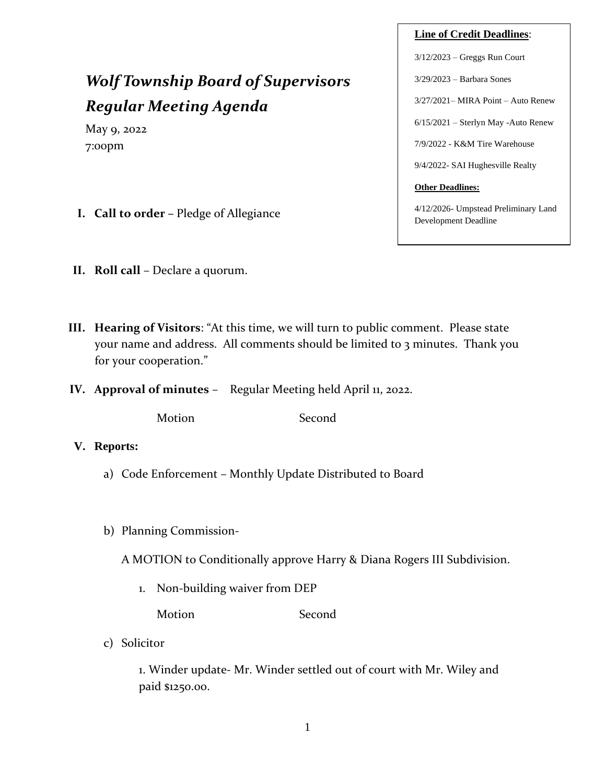# *Wolf Township Board of Supervisors Regular Meeting Agenda*

May 9, 2022 7:00pm

- **I. Call to order –** Pledge of Allegiance
- **II. Roll call** Declare a quorum.
- **III. Hearing of Visitors**: "At this time, we will turn to public comment. Please state your name and address. All comments should be limited to 3 minutes. Thank you for your cooperation."
- **IV. Approval of minutes** Regular Meeting held April 11, 2022.

Motion Second

- **V. Reports:**
	- a) Code Enforcement Monthly Update Distributed to Board
	- b) Planning Commission-

A MOTION to Conditionally approve Harry & Diana Rogers III Subdivision.

1. Non-building waiver from DEP

Motion Second

c) Solicitor

1. Winder update- Mr. Winder settled out of court with Mr. Wiley and paid \$1250.00.

# **Line of Credit Deadlines**:

3/12/2023 – Greggs Run Court

3/29/2023 – Barbara Sones

3/27/2021– MIRA Point – Auto Renew

6/15/2021 – Sterlyn May -Auto Renew

7/9/2022 - K&M Tire Warehouse

9/4/2022- SAI Hughesville Realty

#### **Other Deadlines:**

4/12/2026- Umpstead Preliminary Land Development Deadline